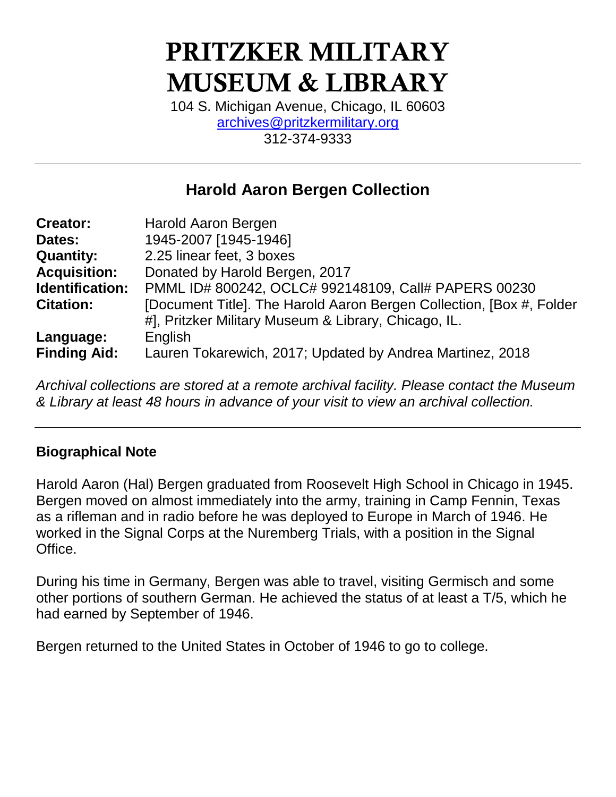# **PRITZKER MILITARY MUSEUM & LIBRARY**

104 S. Michigan Avenue, Chicago, IL 60603 [archives@pritzkermilitary.org](mailto:archives@pritzkermilitary.org) 312-374-9333

# **Harold Aaron Bergen Collection**

| <b>Creator:</b>     | Harold Aaron Bergen                                                   |
|---------------------|-----------------------------------------------------------------------|
| Dates:              | 1945-2007 [1945-1946]                                                 |
| <b>Quantity:</b>    | 2.25 linear feet, 3 boxes                                             |
| <b>Acquisition:</b> | Donated by Harold Bergen, 2017                                        |
| Identification:     | PMML ID# 800242, OCLC# 992148109, Call# PAPERS 00230                  |
| <b>Citation:</b>    | [Document Title]. The Harold Aaron Bergen Collection, [Box #, Folder] |
|                     | #], Pritzker Military Museum & Library, Chicago, IL.                  |
| Language:           | English                                                               |
| <b>Finding Aid:</b> | Lauren Tokarewich, 2017; Updated by Andrea Martinez, 2018             |

*Archival collections are stored at a remote archival facility. Please contact the Museum & Library at least 48 hours in advance of your visit to view an archival collection.*

# **Biographical Note**

Harold Aaron (Hal) Bergen graduated from Roosevelt High School in Chicago in 1945. Bergen moved on almost immediately into the army, training in Camp Fennin, Texas as a rifleman and in radio before he was deployed to Europe in March of 1946. He worked in the Signal Corps at the Nuremberg Trials, with a position in the Signal Office.

During his time in Germany, Bergen was able to travel, visiting Germisch and some other portions of southern German. He achieved the status of at least a T/5, which he had earned by September of 1946.

Bergen returned to the United States in October of 1946 to go to college.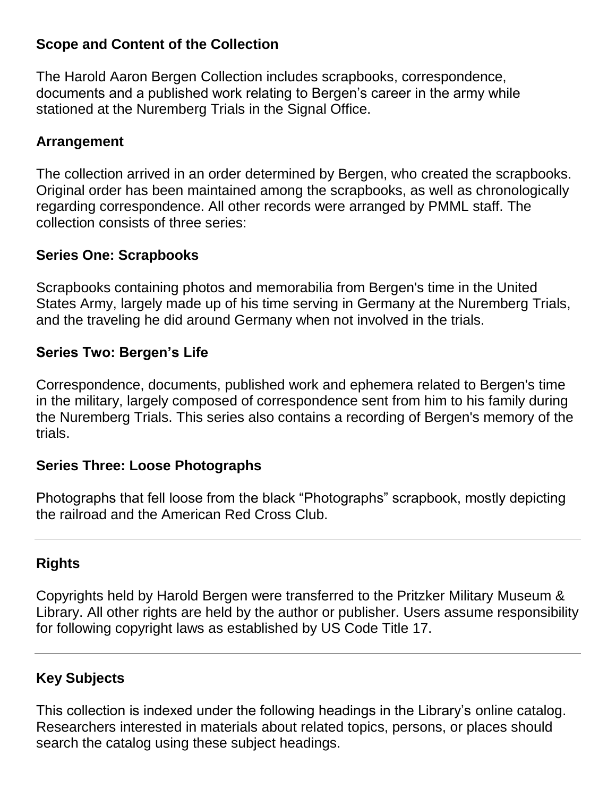### **Scope and Content of the Collection**

The Harold Aaron Bergen Collection includes scrapbooks, correspondence, documents and a published work relating to Bergen's career in the army while stationed at the Nuremberg Trials in the Signal Office.

# **Arrangement**

The collection arrived in an order determined by Bergen, who created the scrapbooks. Original order has been maintained among the scrapbooks, as well as chronologically regarding correspondence. All other records were arranged by PMML staff. The collection consists of three series:

#### **Series One: Scrapbooks**

Scrapbooks containing photos and memorabilia from Bergen's time in the United States Army, largely made up of his time serving in Germany at the Nuremberg Trials, and the traveling he did around Germany when not involved in the trials.

#### **Series Two: Bergen's Life**

Correspondence, documents, published work and ephemera related to Bergen's time in the military, largely composed of correspondence sent from him to his family during the Nuremberg Trials. This series also contains a recording of Bergen's memory of the trials.

#### **Series Three: Loose Photographs**

Photographs that fell loose from the black "Photographs" scrapbook, mostly depicting the railroad and the American Red Cross Club.

# **Rights**

Copyrights held by Harold Bergen were transferred to the Pritzker Military Museum & Library. All other rights are held by the author or publisher. Users assume responsibility for following copyright laws as established by US Code Title 17.

# **Key Subjects**

This collection is indexed under the following headings in the Library's online catalog. Researchers interested in materials about related topics, persons, or places should search the catalog using these subject headings.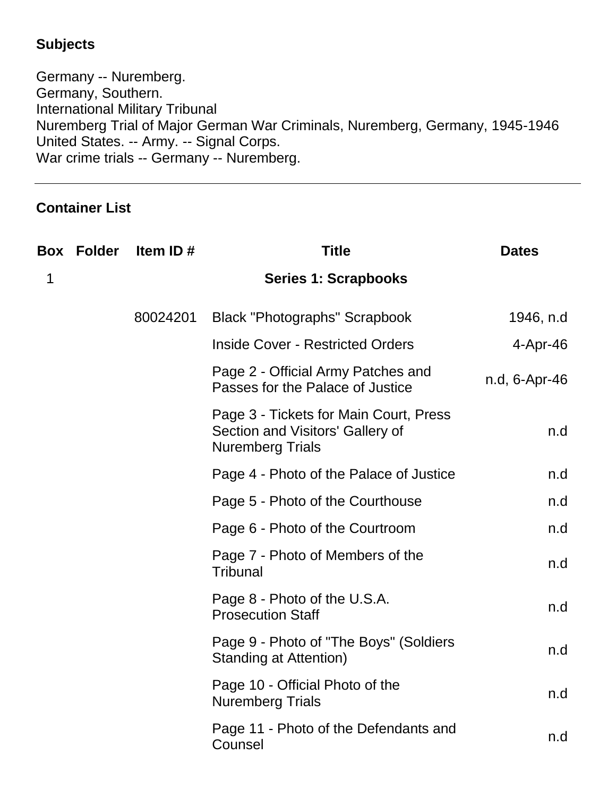# **Subjects**

Germany -- Nuremberg. Germany, Southern. International Military Tribunal Nuremberg Trial of Major German War Criminals, Nuremberg, Germany, 1945-1946 United States. -- Army. -- Signal Corps. War crime trials -- Germany -- Nuremberg.

# **Container List**

|   | <b>Box Folder</b> | Item ID# | <b>Title</b>                                                                                          | <b>Dates</b>  |
|---|-------------------|----------|-------------------------------------------------------------------------------------------------------|---------------|
| 1 |                   |          | <b>Series 1: Scrapbooks</b>                                                                           |               |
|   |                   | 80024201 | <b>Black "Photographs" Scrapbook</b>                                                                  | 1946, n.d     |
|   |                   |          | <b>Inside Cover - Restricted Orders</b>                                                               | 4-Apr-46      |
|   |                   |          | Page 2 - Official Army Patches and<br>Passes for the Palace of Justice                                | n.d, 6-Apr-46 |
|   |                   |          | Page 3 - Tickets for Main Court, Press<br>Section and Visitors' Gallery of<br><b>Nuremberg Trials</b> | n.d           |
|   |                   |          | Page 4 - Photo of the Palace of Justice                                                               | n.d           |
|   |                   |          | Page 5 - Photo of the Courthouse                                                                      | n.d           |
|   |                   |          | Page 6 - Photo of the Courtroom                                                                       | n.d           |
|   |                   |          | Page 7 - Photo of Members of the<br><b>Tribunal</b>                                                   | n.d           |
|   |                   |          | Page 8 - Photo of the U.S.A.<br><b>Prosecution Staff</b>                                              | n.d           |
|   |                   |          | Page 9 - Photo of "The Boys" (Soldiers<br><b>Standing at Attention)</b>                               | n.d           |
|   |                   |          | Page 10 - Official Photo of the<br><b>Nuremberg Trials</b>                                            | n.d           |
|   |                   |          | Page 11 - Photo of the Defendants and<br>Counsel                                                      | n.d           |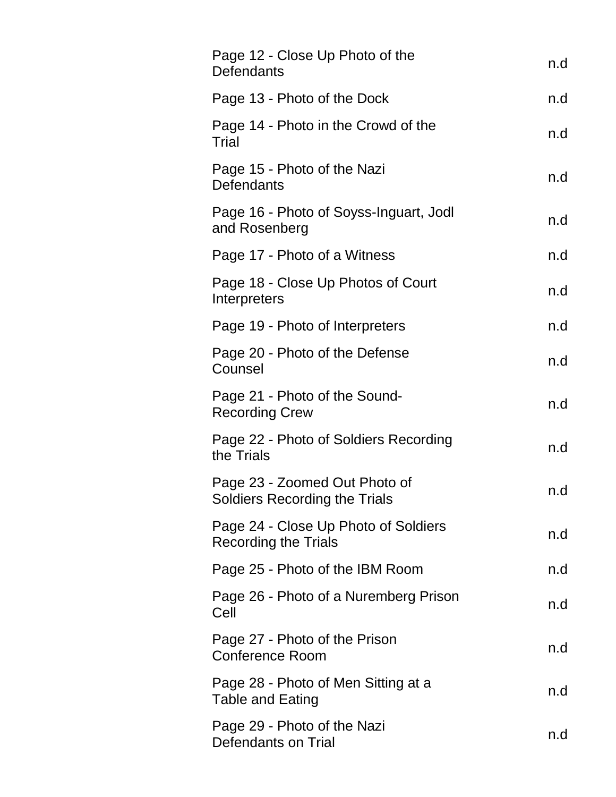| Page 12 - Close Up Photo of the<br>Defendants                         | n.d |
|-----------------------------------------------------------------------|-----|
| Page 13 - Photo of the Dock                                           | n.d |
| Page 14 - Photo in the Crowd of the<br>Trial                          | n.d |
| Page 15 - Photo of the Nazi<br>Defendants                             | n.d |
| Page 16 - Photo of Soyss-Inguart, Jodl<br>and Rosenberg               | n.d |
| Page 17 - Photo of a Witness                                          | n.d |
| Page 18 - Close Up Photos of Court<br>Interpreters                    | n.d |
| Page 19 - Photo of Interpreters                                       | n.d |
| Page 20 - Photo of the Defense<br>Counsel                             | n.d |
| Page 21 - Photo of the Sound-<br><b>Recording Crew</b>                | n.d |
| Page 22 - Photo of Soldiers Recording<br>the Trials                   | n.d |
| Page 23 - Zoomed Out Photo of<br><b>Soldiers Recording the Trials</b> | n.d |
| Page 24 - Close Up Photo of Soldiers<br><b>Recording the Trials</b>   | n.d |
| Page 25 - Photo of the IBM Room                                       | n.d |
| Page 26 - Photo of a Nuremberg Prison<br>Cell                         | n.d |
| Page 27 - Photo of the Prison<br><b>Conference Room</b>               | n.d |
| Page 28 - Photo of Men Sitting at a<br><b>Table and Eating</b>        | n.d |
| Page 29 - Photo of the Nazi<br><b>Defendants on Trial</b>             | n.d |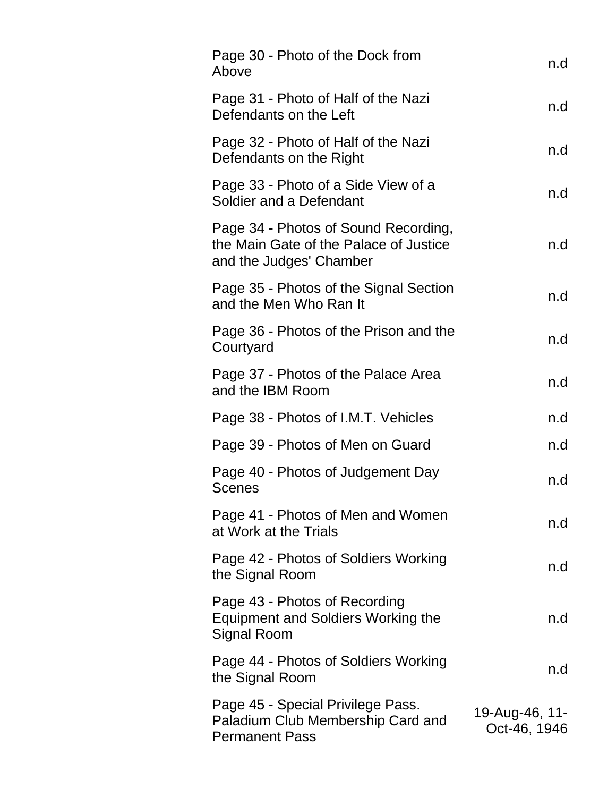| Page 30 - Photo of the Dock from<br>Above                                                                 | n.d                            |
|-----------------------------------------------------------------------------------------------------------|--------------------------------|
| Page 31 - Photo of Half of the Nazi<br>Defendants on the Left                                             | n.d                            |
| Page 32 - Photo of Half of the Nazi<br>Defendants on the Right                                            | n.d                            |
| Page 33 - Photo of a Side View of a<br>Soldier and a Defendant                                            | n.d                            |
| Page 34 - Photos of Sound Recording,<br>the Main Gate of the Palace of Justice<br>and the Judges' Chamber | n.d                            |
| Page 35 - Photos of the Signal Section<br>and the Men Who Ran It                                          | n.d                            |
| Page 36 - Photos of the Prison and the<br>Courtyard                                                       | n.d                            |
| Page 37 - Photos of the Palace Area<br>and the IBM Room                                                   | n.d                            |
| Page 38 - Photos of I.M.T. Vehicles                                                                       | n.d                            |
| Page 39 - Photos of Men on Guard                                                                          | n.d                            |
| Page 40 - Photos of Judgement Day<br><b>Scenes</b>                                                        | n.d                            |
| Page 41 - Photos of Men and Women<br>at Work at the Trials                                                | n.d                            |
| Page 42 - Photos of Soldiers Working<br>the Signal Room                                                   | n.d                            |
| Page 43 - Photos of Recording<br><b>Equipment and Soldiers Working the</b><br><b>Signal Room</b>          | n.d                            |
| Page 44 - Photos of Soldiers Working<br>the Signal Room                                                   | n.d                            |
| Page 45 - Special Privilege Pass.<br>Paladium Club Membership Card and<br><b>Permanent Pass</b>           | 19-Aug-46, 11-<br>Oct-46, 1946 |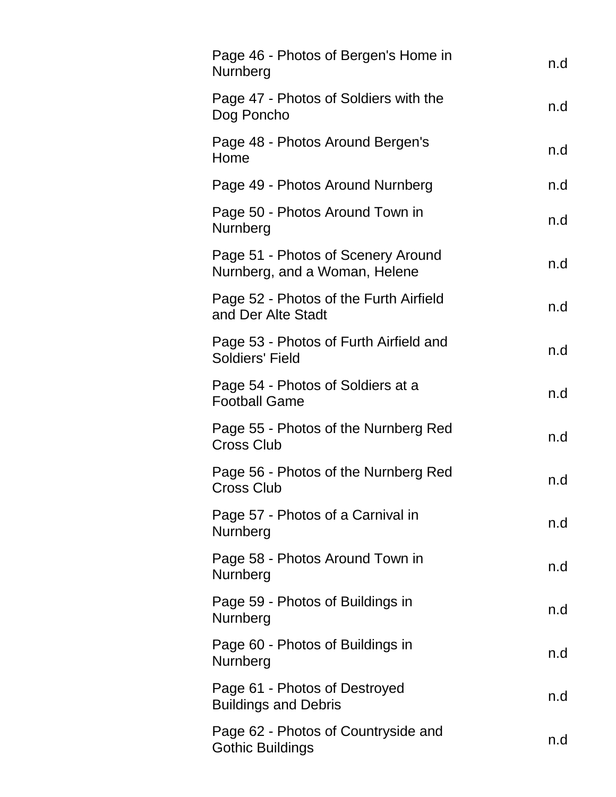| Page 46 - Photos of Bergen's Home in<br>Nurnberg                    | n.d |
|---------------------------------------------------------------------|-----|
| Page 47 - Photos of Soldiers with the<br>Dog Poncho                 | n.d |
| Page 48 - Photos Around Bergen's<br>Home                            | n.d |
| Page 49 - Photos Around Nurnberg                                    | n.d |
| Page 50 - Photos Around Town in<br>Nurnberg                         | n.d |
| Page 51 - Photos of Scenery Around<br>Nurnberg, and a Woman, Helene | n.d |
| Page 52 - Photos of the Furth Airfield<br>and Der Alte Stadt        | n.d |
| Page 53 - Photos of Furth Airfield and<br>Soldiers' Field           | n.d |
| Page 54 - Photos of Soldiers at a<br><b>Football Game</b>           | n.d |
| Page 55 - Photos of the Nurnberg Red<br><b>Cross Club</b>           | n.d |
| Page 56 - Photos of the Nurnberg Red<br><b>Cross Club</b>           | n.d |
| Page 57 - Photos of a Carnival in<br>Nurnberg                       | n.d |
| Page 58 - Photos Around Town in<br>Nurnberg                         | n.d |
| Page 59 - Photos of Buildings in<br>Nurnberg                        | n.d |
| Page 60 - Photos of Buildings in<br>Nurnberg                        | n.d |
| Page 61 - Photos of Destroyed<br><b>Buildings and Debris</b>        | n.d |
| Page 62 - Photos of Countryside and<br><b>Gothic Buildings</b>      | n.d |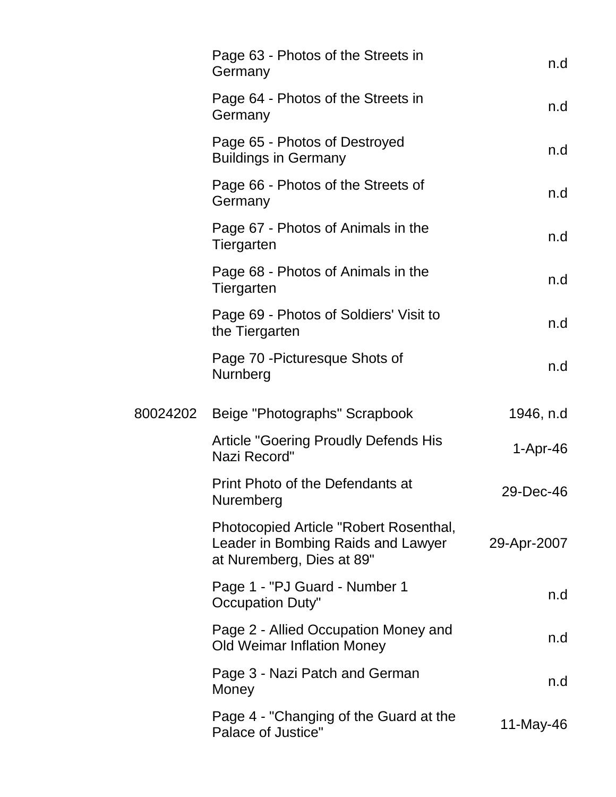| Page 63 - Photos of the Streets in<br>Germany                                                             | n.d         |
|-----------------------------------------------------------------------------------------------------------|-------------|
| Page 64 - Photos of the Streets in<br>Germany                                                             | n.d         |
| Page 65 - Photos of Destroyed<br><b>Buildings in Germany</b>                                              | n.d         |
| Page 66 - Photos of the Streets of<br>Germany                                                             | n.d         |
| Page 67 - Photos of Animals in the<br>Tiergarten                                                          | n.d         |
| Page 68 - Photos of Animals in the<br>Tiergarten                                                          | n.d         |
| Page 69 - Photos of Soldiers' Visit to<br>the Tiergarten                                                  | n.d         |
| Page 70 - Picturesque Shots of<br>Nurnberg                                                                | n.d         |
| 80024202 Beige "Photographs" Scrapbook                                                                    | 1946, n.d   |
| <b>Article "Goering Proudly Defends His</b><br>Nazi Record"                                               | $1-Apr-46$  |
| Print Photo of the Defendants at<br>Nuremberg                                                             | 29-Dec-46   |
| Photocopied Article "Robert Rosenthal,<br>Leader in Bombing Raids and Lawyer<br>at Nuremberg, Dies at 89" | 29-Apr-2007 |
| Page 1 - "PJ Guard - Number 1<br>Occupation Duty"                                                         | n.d         |
| Page 2 - Allied Occupation Money and<br><b>Old Weimar Inflation Money</b>                                 | n.d         |
| Page 3 - Nazi Patch and German<br>Money                                                                   | n.d         |
| Page 4 - "Changing of the Guard at the<br>Palace of Justice"                                              | 11-May-46   |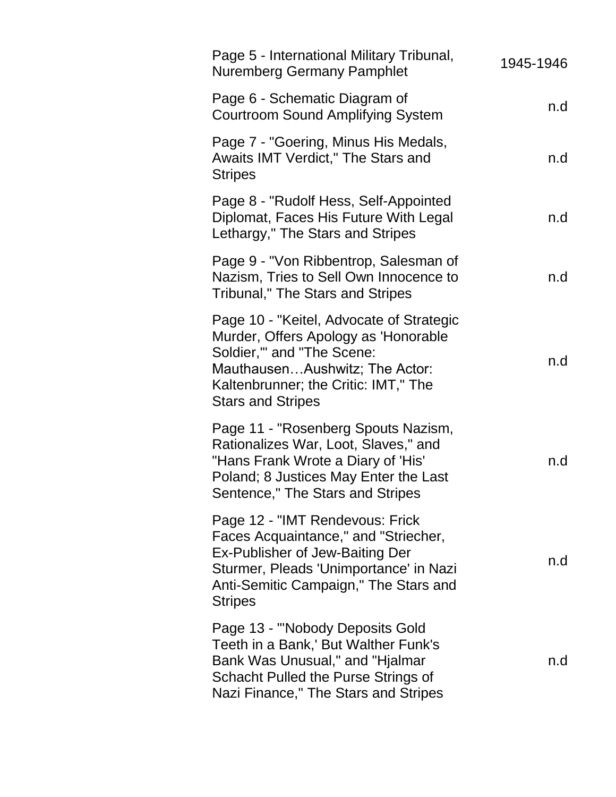| Page 5 - International Military Tribunal,<br><b>Nuremberg Germany Pamphlet</b>                                                                                                                                      | 1945-1946 |
|---------------------------------------------------------------------------------------------------------------------------------------------------------------------------------------------------------------------|-----------|
| Page 6 - Schematic Diagram of<br><b>Courtroom Sound Amplifying System</b>                                                                                                                                           | n.d       |
| Page 7 - "Goering, Minus His Medals,<br>Awaits IMT Verdict," The Stars and<br><b>Stripes</b>                                                                                                                        | n.d       |
| Page 8 - "Rudolf Hess, Self-Appointed<br>Diplomat, Faces His Future With Legal<br>Lethargy," The Stars and Stripes                                                                                                  | n.d       |
| Page 9 - "Von Ribbentrop, Salesman of<br>Nazism, Tries to Sell Own Innocence to<br>Tribunal," The Stars and Stripes                                                                                                 | n.d       |
| Page 10 - "Keitel, Advocate of Strategic<br>Murder, Offers Apology as 'Honorable<br>Soldier," and "The Scene:<br>MauthausenAushwitz; The Actor:<br>Kaltenbrunner; the Critic: IMT," The<br><b>Stars and Stripes</b> | n.d       |
| Page 11 - "Rosenberg Spouts Nazism,<br>Rationalizes War, Loot, Slaves," and<br>"Hans Frank Wrote a Diary of 'His'<br>Poland; 8 Justices May Enter the Last<br>Sentence," The Stars and Stripes                      | n.d       |
| Page 12 - "IMT Rendevous: Frick<br>Faces Acquaintance," and "Striecher,<br>Ex-Publisher of Jew-Baiting Der<br>Sturmer, Pleads 'Unimportance' in Nazi<br>Anti-Semitic Campaign," The Stars and<br><b>Stripes</b>     | n.d       |
| Page 13 - "'Nobody Deposits Gold<br>Teeth in a Bank,' But Walther Funk's<br>Bank Was Unusual," and "Hjalmar<br>Schacht Pulled the Purse Strings of<br>Nazi Finance," The Stars and Stripes                          | n.d       |
|                                                                                                                                                                                                                     |           |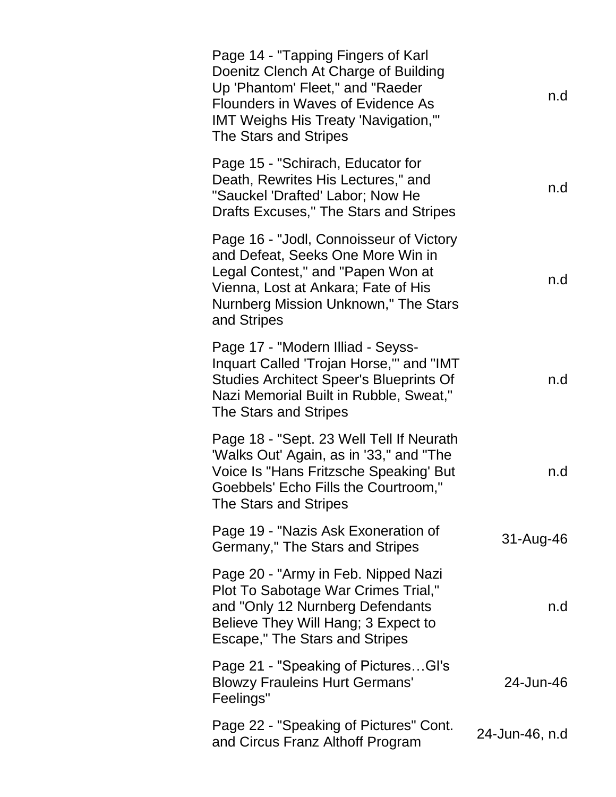| Page 14 - "Tapping Fingers of Karl<br>Doenitz Clench At Charge of Building<br>Up 'Phantom' Fleet," and "Raeder<br><b>Flounders in Waves of Evidence As</b><br><b>IMT Weighs His Treaty 'Navigation,'"</b><br>The Stars and Stripes | n.d            |
|------------------------------------------------------------------------------------------------------------------------------------------------------------------------------------------------------------------------------------|----------------|
| Page 15 - "Schirach, Educator for<br>Death, Rewrites His Lectures," and<br>"Sauckel 'Drafted' Labor; Now He<br>Drafts Excuses," The Stars and Stripes                                                                              | n.d            |
| Page 16 - "Jodl, Connoisseur of Victory<br>and Defeat, Seeks One More Win in<br>Legal Contest," and "Papen Won at<br>Vienna, Lost at Ankara; Fate of His<br>Nurnberg Mission Unknown," The Stars<br>and Stripes                    | n.d            |
| Page 17 - "Modern Illiad - Seyss-<br>Inquart Called 'Trojan Horse," and "IMT<br><b>Studies Architect Speer's Blueprints Of</b><br>Nazi Memorial Built in Rubble, Sweat,"<br>The Stars and Stripes                                  | n.d            |
| Page 18 - "Sept. 23 Well Tell If Neurath<br>'Walks Out' Again, as in '33," and "The<br>Voice Is "Hans Fritzsche Speaking' But<br>Goebbels' Echo Fills the Courtroom,"<br>The Stars and Stripes                                     | n.d            |
| Page 19 - "Nazis Ask Exoneration of<br>Germany," The Stars and Stripes                                                                                                                                                             | 31-Aug-46      |
| Page 20 - "Army in Feb. Nipped Nazi<br>Plot To Sabotage War Crimes Trial,"<br>and "Only 12 Nurnberg Defendants<br>Believe They Will Hang; 3 Expect to<br>Escape," The Stars and Stripes                                            | n.d            |
| Page 21 - "Speaking of PicturesGI's<br><b>Blowzy Frauleins Hurt Germans'</b><br>Feelings"                                                                                                                                          | 24-Jun-46      |
| Page 22 - "Speaking of Pictures" Cont.<br>and Circus Franz Althoff Program                                                                                                                                                         | 24-Jun-46, n.d |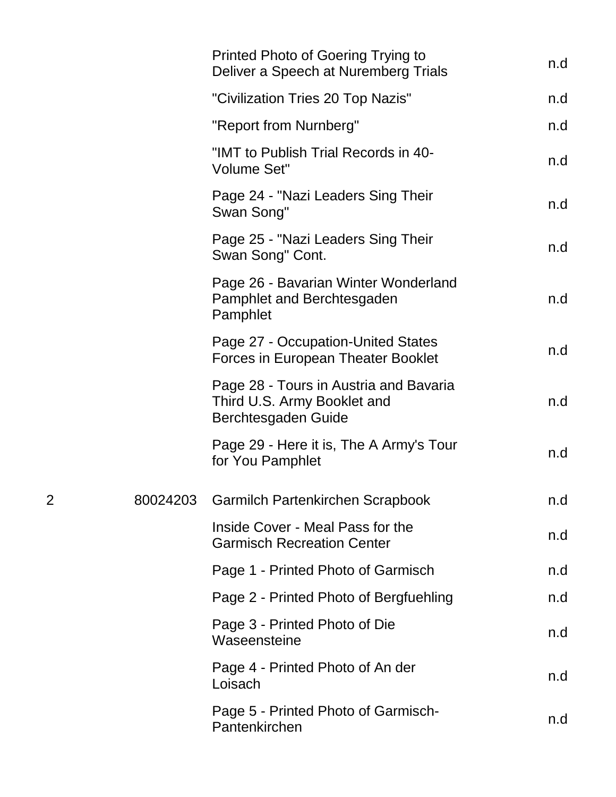|          | Printed Photo of Goering Trying to<br>Deliver a Speech at Nuremberg Trials                   | n.d |
|----------|----------------------------------------------------------------------------------------------|-----|
|          | "Civilization Tries 20 Top Nazis"                                                            | n.d |
|          | "Report from Nurnberg"                                                                       | n.d |
|          | "IMT to Publish Trial Records in 40-<br><b>Volume Set"</b>                                   | n.d |
|          | Page 24 - "Nazi Leaders Sing Their<br>Swan Song"                                             | n.d |
|          | Page 25 - "Nazi Leaders Sing Their<br>Swan Song" Cont.                                       | n.d |
|          | Page 26 - Bavarian Winter Wonderland<br>Pamphlet and Berchtesgaden<br>Pamphlet               | n.d |
|          | Page 27 - Occupation-United States<br>Forces in European Theater Booklet                     | n.d |
|          | Page 28 - Tours in Austria and Bavaria<br>Third U.S. Army Booklet and<br>Berchtesgaden Guide | n.d |
|          | Page 29 - Here it is, The A Army's Tour<br>for You Pamphlet                                  | n.d |
| 80024203 | <b>Garmilch Partenkirchen Scrapbook</b>                                                      | n.d |
|          | Inside Cover - Meal Pass for the<br><b>Garmisch Recreation Center</b>                        | n.d |
|          | Page 1 - Printed Photo of Garmisch                                                           | n.d |
|          | Page 2 - Printed Photo of Bergfuehling                                                       | n.d |
|          | Page 3 - Printed Photo of Die<br>Waseensteine                                                | n.d |
|          | Page 4 - Printed Photo of An der<br>Loisach                                                  | n.d |
|          | Page 5 - Printed Photo of Garmisch-<br>Pantenkirchen                                         | n.d |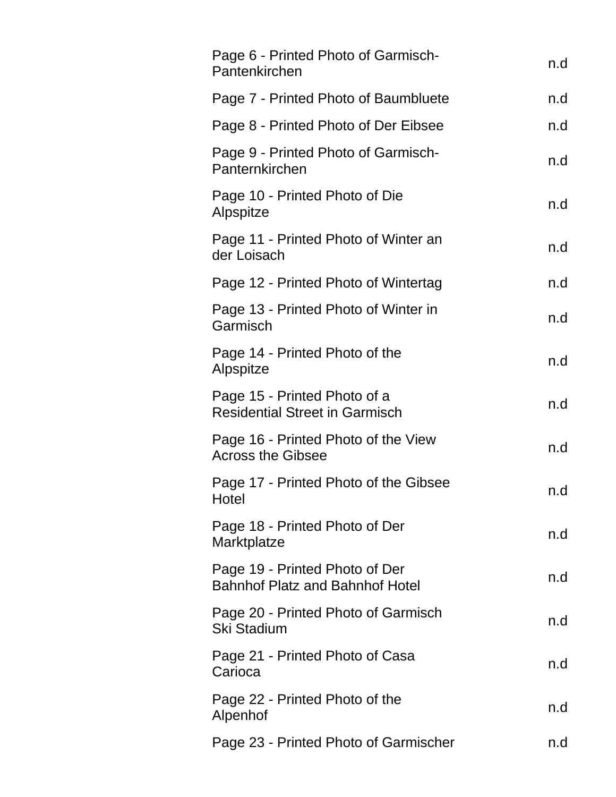| Page 6 - Printed Photo of Garmisch-<br>Pantenkirchen                     | n.d |
|--------------------------------------------------------------------------|-----|
| Page 7 - Printed Photo of Baumbluete                                     | n.d |
| Page 8 - Printed Photo of Der Eibsee                                     | n.d |
| Page 9 - Printed Photo of Garmisch-<br>Panternkirchen                    | n.d |
| Page 10 - Printed Photo of Die<br>Alpspitze                              | n.d |
| Page 11 - Printed Photo of Winter an<br>der Loisach                      | n.d |
| Page 12 - Printed Photo of Wintertag                                     | n.d |
| Page 13 - Printed Photo of Winter in<br>Garmisch                         | n.d |
| Page 14 - Printed Photo of the<br>Alpspitze                              | n.d |
| Page 15 - Printed Photo of a<br><b>Residential Street in Garmisch</b>    | n.d |
| Page 16 - Printed Photo of the View<br><b>Across the Gibsee</b>          | n.d |
| Page 17 - Printed Photo of the Gibsee<br>Hotel                           | n.d |
| Page 18 - Printed Photo of Der<br>Marktplatze                            | n.d |
| Page 19 - Printed Photo of Der<br><b>Bahnhof Platz and Bahnhof Hotel</b> | n.d |
| Page 20 - Printed Photo of Garmisch<br><b>Ski Stadium</b>                | n.d |
| Page 21 - Printed Photo of Casa<br>Carioca                               | n.d |
| Page 22 - Printed Photo of the<br>Alpenhof                               | n.d |
| Page 23 - Printed Photo of Garmischer                                    | n.d |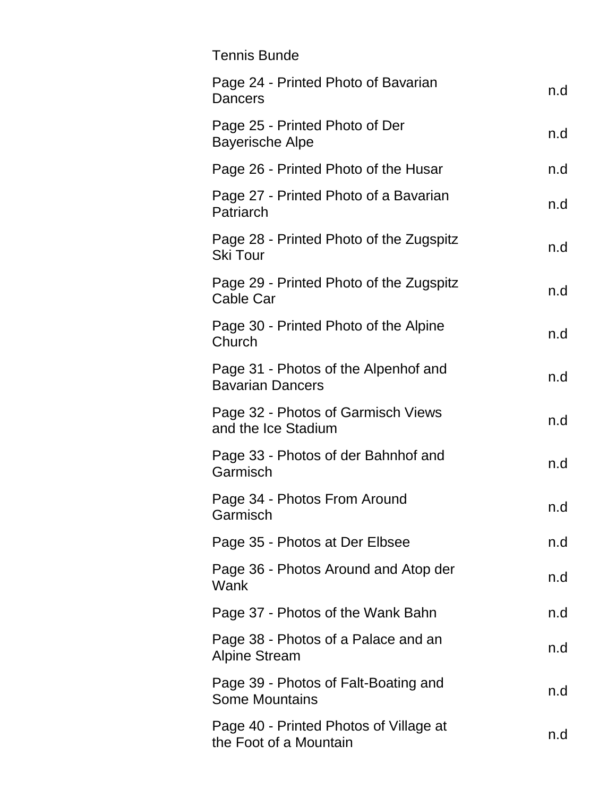| <b>Tennis Bunde</b>                                              |     |
|------------------------------------------------------------------|-----|
| Page 24 - Printed Photo of Bavarian<br><b>Dancers</b>            | n.d |
| Page 25 - Printed Photo of Der<br><b>Bayerische Alpe</b>         | n.d |
| Page 26 - Printed Photo of the Husar                             | n.d |
| Page 27 - Printed Photo of a Bavarian<br>Patriarch               | n.d |
| Page 28 - Printed Photo of the Zugspitz<br><b>Ski Tour</b>       | n.d |
| Page 29 - Printed Photo of the Zugspitz<br>Cable Car             | n.d |
| Page 30 - Printed Photo of the Alpine<br>Church                  | n.d |
| Page 31 - Photos of the Alpenhof and<br><b>Bavarian Dancers</b>  | n.d |
| Page 32 - Photos of Garmisch Views<br>and the Ice Stadium        | n.d |
| Page 33 - Photos of der Bahnhof and<br>Garmisch                  | n.d |
| Page 34 - Photos From Around<br>Garmisch                         | n.d |
| Page 35 - Photos at Der Elbsee                                   | n.d |
| Page 36 - Photos Around and Atop der<br>Wank                     | n.d |
| Page 37 - Photos of the Wank Bahn                                | n.d |
| Page 38 - Photos of a Palace and an<br><b>Alpine Stream</b>      | n.d |
| Page 39 - Photos of Falt-Boating and<br><b>Some Mountains</b>    | n.d |
| Page 40 - Printed Photos of Village at<br>the Foot of a Mountain | n.d |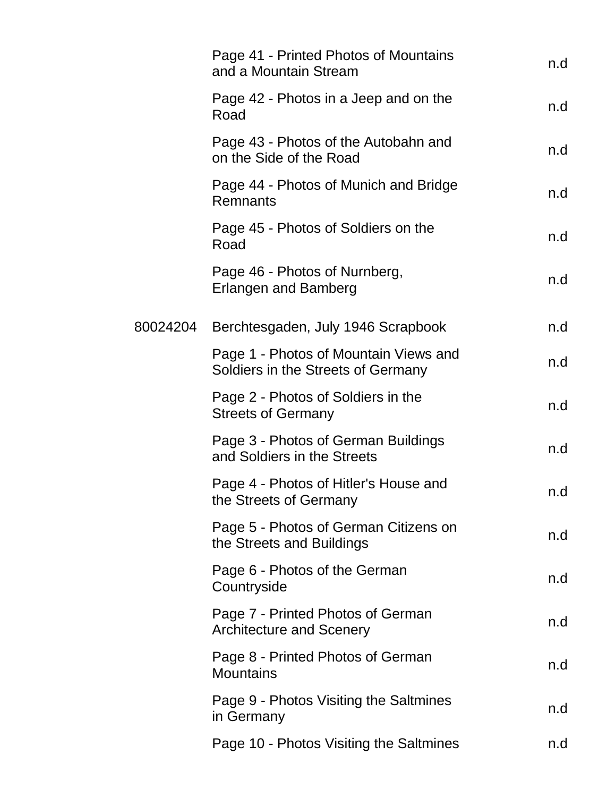|          | Page 41 - Printed Photos of Mountains<br>and a Mountain Stream              | n.d |
|----------|-----------------------------------------------------------------------------|-----|
|          | Page 42 - Photos in a Jeep and on the<br>Road                               | n.d |
|          | Page 43 - Photos of the Autobahn and<br>on the Side of the Road             | n.d |
|          | Page 44 - Photos of Munich and Bridge<br>Remnants                           | n.d |
|          | Page 45 - Photos of Soldiers on the<br>Road                                 | n.d |
|          | Page 46 - Photos of Nurnberg,<br><b>Erlangen and Bamberg</b>                | n.d |
| 80024204 | Berchtesgaden, July 1946 Scrapbook                                          | n.d |
|          | Page 1 - Photos of Mountain Views and<br>Soldiers in the Streets of Germany | n.d |
|          | Page 2 - Photos of Soldiers in the<br><b>Streets of Germany</b>             | n.d |
|          | Page 3 - Photos of German Buildings<br>and Soldiers in the Streets          | n.d |
|          | Page 4 - Photos of Hitler's House and<br>the Streets of Germany             | n.d |
|          | Page 5 - Photos of German Citizens on<br>the Streets and Buildings          | n.d |
|          | Page 6 - Photos of the German<br>Countryside                                | n.d |
|          | Page 7 - Printed Photos of German<br><b>Architecture and Scenery</b>        | n.d |
|          | Page 8 - Printed Photos of German<br><b>Mountains</b>                       | n.d |
|          | Page 9 - Photos Visiting the Saltmines<br>in Germany                        | n.d |
|          | Page 10 - Photos Visiting the Saltmines                                     | n.d |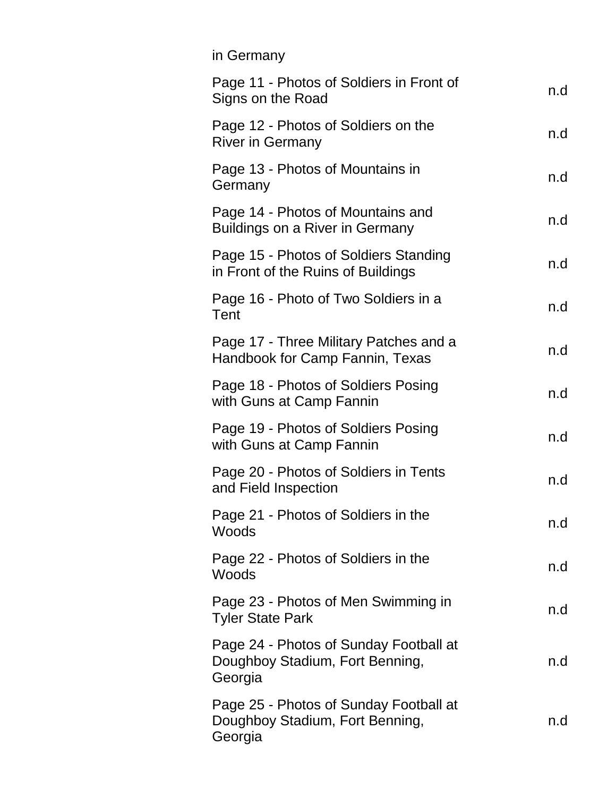| in Germany                                                                           |     |
|--------------------------------------------------------------------------------------|-----|
| Page 11 - Photos of Soldiers in Front of<br>Signs on the Road                        | n.d |
| Page 12 - Photos of Soldiers on the<br><b>River in Germany</b>                       | n.d |
| Page 13 - Photos of Mountains in<br>Germany                                          | n.d |
| Page 14 - Photos of Mountains and<br>Buildings on a River in Germany                 | n.d |
| Page 15 - Photos of Soldiers Standing<br>in Front of the Ruins of Buildings          | n.d |
| Page 16 - Photo of Two Soldiers in a<br>Tent                                         | n.d |
| Page 17 - Three Military Patches and a<br>Handbook for Camp Fannin, Texas            | n.d |
| Page 18 - Photos of Soldiers Posing<br>with Guns at Camp Fannin                      | n.d |
| Page 19 - Photos of Soldiers Posing<br>with Guns at Camp Fannin                      | n.d |
| Page 20 - Photos of Soldiers in Tents<br>and Field Inspection                        | n.d |
| Page 21 - Photos of Soldiers in the<br>Woods                                         | n.d |
| Page 22 - Photos of Soldiers in the<br>Woods                                         | n.d |
| Page 23 - Photos of Men Swimming in<br><b>Tyler State Park</b>                       | n.d |
| Page 24 - Photos of Sunday Football at<br>Doughboy Stadium, Fort Benning,<br>Georgia | n.d |
| Page 25 - Photos of Sunday Football at<br>Doughboy Stadium, Fort Benning,<br>Georgia | n.d |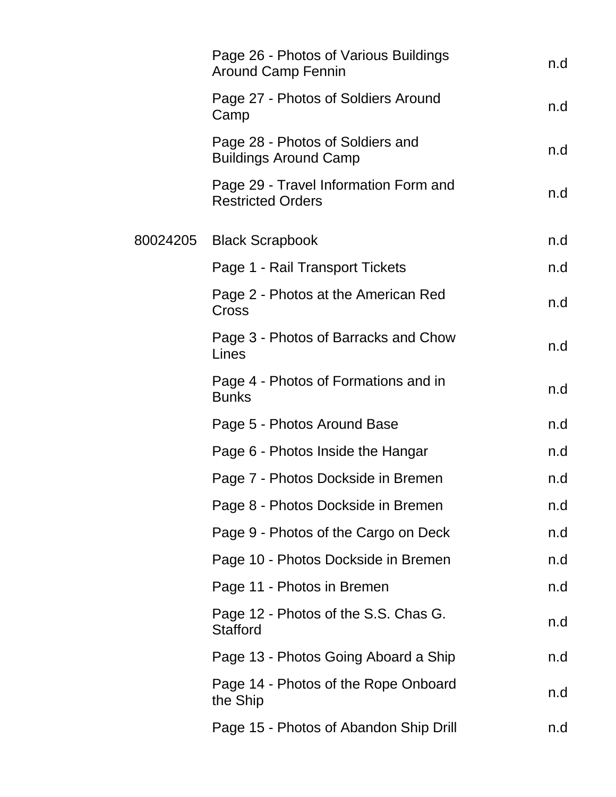| Page 26 - Photos of Various Buildings<br><b>Around Camp Fennin</b> | n.d |
|--------------------------------------------------------------------|-----|
| Page 27 - Photos of Soldiers Around<br>Camp                        | n.d |
| Page 28 - Photos of Soldiers and<br><b>Buildings Around Camp</b>   | n.d |
| Page 29 - Travel Information Form and<br><b>Restricted Orders</b>  | n.d |
| 80024205 Black Scrapbook                                           | n.d |
| Page 1 - Rail Transport Tickets                                    | n.d |
| Page 2 - Photos at the American Red<br>Cross                       | n.d |
| Page 3 - Photos of Barracks and Chow<br>Lines                      | n.d |
| Page 4 - Photos of Formations and in<br><b>Bunks</b>               | n.d |
| Page 5 - Photos Around Base                                        | n.d |
| Page 6 - Photos Inside the Hangar                                  | n.d |
| Page 7 - Photos Dockside in Bremen                                 | n.d |
| Page 8 - Photos Dockside in Bremen                                 | n.d |
| Page 9 - Photos of the Cargo on Deck                               | n.d |
| Page 10 - Photos Dockside in Bremen                                | n.d |
| Page 11 - Photos in Bremen                                         | n.d |
| Page 12 - Photos of the S.S. Chas G.<br><b>Stafford</b>            | n.d |
| Page 13 - Photos Going Aboard a Ship                               | n.d |
| Page 14 - Photos of the Rope Onboard<br>the Ship                   | n.d |
| Page 15 - Photos of Abandon Ship Drill                             | n.d |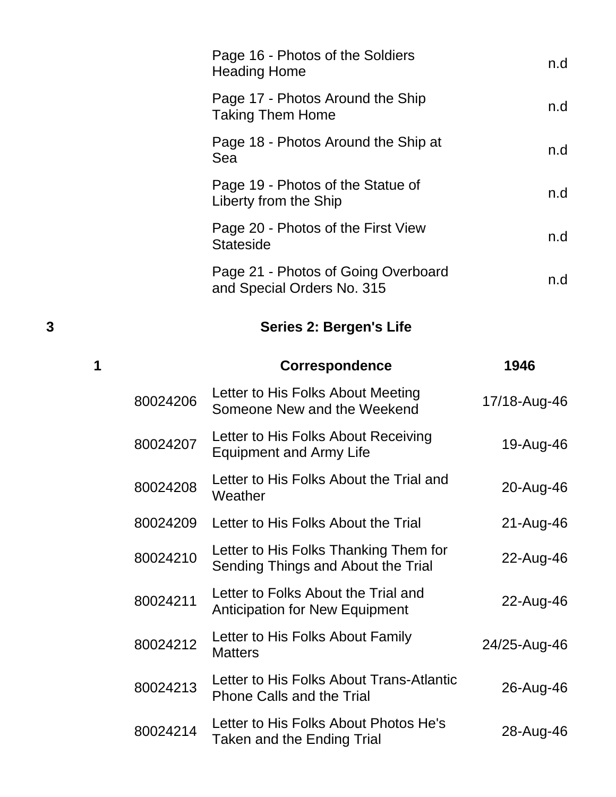|   |          | Page 16 - Photos of the Soldiers<br><b>Heading Home</b>               | n.d          |
|---|----------|-----------------------------------------------------------------------|--------------|
|   |          | Page 17 - Photos Around the Ship<br><b>Taking Them Home</b>           | n.d          |
|   |          | Page 18 - Photos Around the Ship at<br>Sea                            | n.d          |
|   |          | Page 19 - Photos of the Statue of<br>Liberty from the Ship            | n.d          |
|   |          | Page 20 - Photos of the First View<br><b>Stateside</b>                | n.d          |
|   |          | Page 21 - Photos of Going Overboard<br>and Special Orders No. 315     | n.d          |
| 3 |          | <b>Series 2: Bergen's Life</b>                                        |              |
| 1 |          | <b>Correspondence</b>                                                 | 1946         |
|   | 80024206 | Letter to His Folks About Meeting<br>Someone New and the Weekend      | 17/18-Aug-46 |
|   | 80024207 | Letter to His Folks About Receiving<br><b>Equipment and Army Life</b> | 19-Aug-46    |
|   | 80024208 | Letter to His Folks About the Trial and<br>Weather                    | 20-Aug-46    |
|   | 80024209 | Letter to His Folks About the Trial                                   | 21-Aug-46    |
|   | 80024210 | Letter to His Folks Thanking Them for                                 | 22-Aug-46    |

Edited to First Forward International Center to First Forward 22-Aug-46 <sup>80024211</sup> Letter to Folks About the Trial and Letter to Forts About the Final and<br>Anticipation for New Equipment 22-Aug-46 80024212 Letter to His Folks About Family Letter to this 1 onts About Farmly 24/25-Aug-46 <sup>80024213</sup> Letter to His Folks About Trans-Atlantic Phone Calls and the Trial 26-Aug-46 80024214 Letter to His Folks About Photos He's Letter to ris richts About Priotos ries<br>Taken and the Ending Trial 28-Aug-46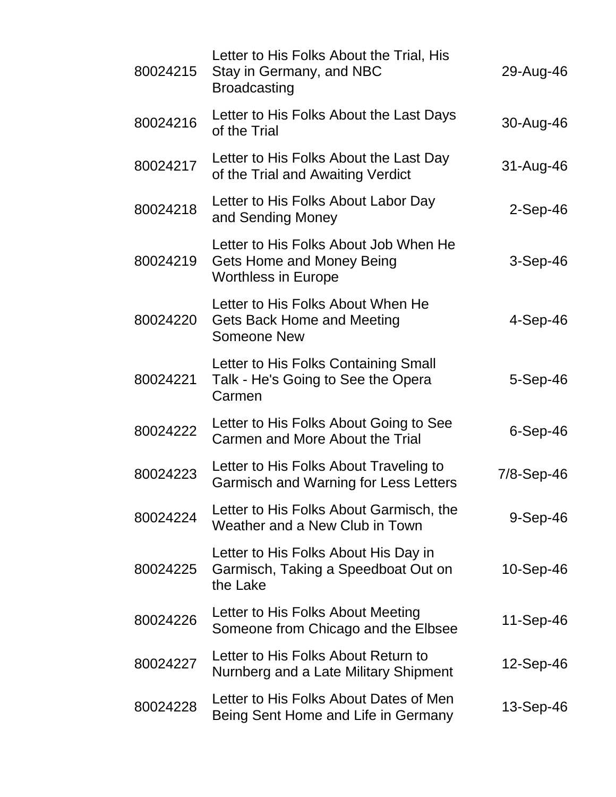| 80024215 | Letter to His Folks About the Trial, His<br>Stay in Germany, and NBC<br><b>Broadcasting</b>      | 29-Aug-46      |
|----------|--------------------------------------------------------------------------------------------------|----------------|
| 80024216 | Letter to His Folks About the Last Days<br>of the Trial                                          | 30-Aug-46      |
| 80024217 | Letter to His Folks About the Last Day<br>of the Trial and Awaiting Verdict                      | 31-Aug-46      |
| 80024218 | Letter to His Folks About Labor Day<br>and Sending Money                                         | $2-Sep-46$     |
| 80024219 | Letter to His Folks About Job When He<br>Gets Home and Money Being<br><b>Worthless in Europe</b> | $3-Sep-46$     |
| 80024220 | Letter to His Folks About When He<br>Gets Back Home and Meeting<br>Someone New                   | $4-Sep-46$     |
| 80024221 | Letter to His Folks Containing Small<br>Talk - He's Going to See the Opera<br>Carmen             | $5-$ Sep $-46$ |
| 80024222 | Letter to His Folks About Going to See<br>Carmen and More About the Trial                        | $6-Sep-46$     |
| 80024223 | Letter to His Folks About Traveling to<br><b>Garmisch and Warning for Less Letters</b>           | 7/8-Sep-46     |
| 80024224 | Letter to His Folks About Garmisch, the<br>Weather and a New Club in Town                        | $9-Sep-46$     |
| 80024225 | Letter to His Folks About His Day in<br>Garmisch, Taking a Speedboat Out on<br>the Lake          | 10-Sep-46      |
| 80024226 | Letter to His Folks About Meeting<br>Someone from Chicago and the Elbsee                         | 11-Sep-46      |
| 80024227 | Letter to His Folks About Return to<br>Nurnberg and a Late Military Shipment                     | 12-Sep-46      |
| 80024228 | Letter to His Folks About Dates of Men<br>Being Sent Home and Life in Germany                    | 13-Sep-46      |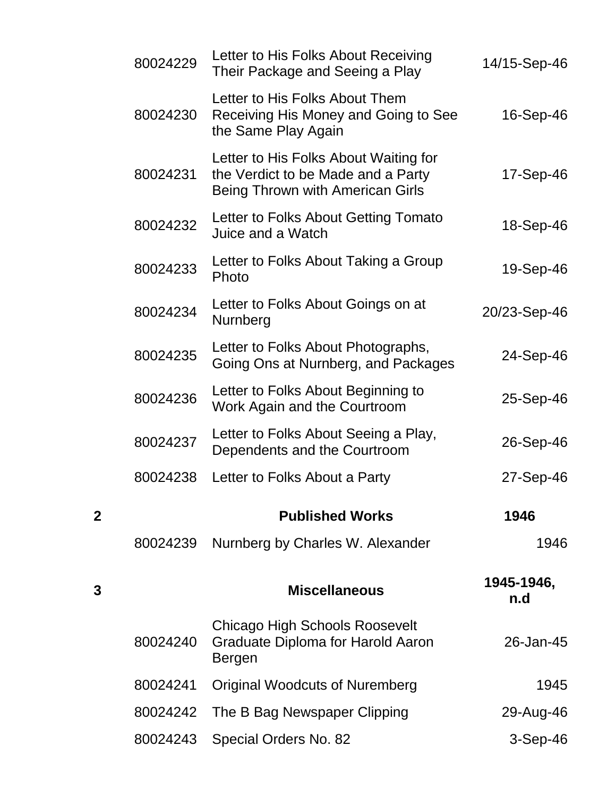|   | 80024229 | Letter to His Folks About Receiving<br>Their Package and Seeing a Play                                          | 14/15-Sep-46      |
|---|----------|-----------------------------------------------------------------------------------------------------------------|-------------------|
|   | 80024230 | Letter to His Folks About Them<br>Receiving His Money and Going to See<br>the Same Play Again                   | 16-Sep-46         |
|   | 80024231 | Letter to His Folks About Waiting for<br>the Verdict to be Made and a Party<br>Being Thrown with American Girls | 17-Sep-46         |
|   | 80024232 | Letter to Folks About Getting Tomato<br>Juice and a Watch                                                       | 18-Sep-46         |
|   | 80024233 | Letter to Folks About Taking a Group<br>Photo                                                                   | 19-Sep-46         |
|   | 80024234 | Letter to Folks About Goings on at<br>Nurnberg                                                                  | 20/23-Sep-46      |
|   | 80024235 | Letter to Folks About Photographs,<br>Going Ons at Nurnberg, and Packages                                       | 24-Sep-46         |
|   | 80024236 | Letter to Folks About Beginning to<br>Work Again and the Courtroom                                              | 25-Sep-46         |
|   | 80024237 | Letter to Folks About Seeing a Play,<br>Dependents and the Courtroom                                            | 26-Sep-46         |
|   | 80024238 | Letter to Folks About a Party                                                                                   | 27-Sep-46         |
| 2 |          | <b>Published Works</b>                                                                                          | 1946              |
|   | 80024239 | Nurnberg by Charles W. Alexander                                                                                | 1946              |
| 3 |          | <b>Miscellaneous</b>                                                                                            | 1945-1946,<br>n.d |
|   | 80024240 | <b>Chicago High Schools Roosevelt</b><br>Graduate Diploma for Harold Aaron<br>Bergen                            | 26-Jan-45         |
|   | 80024241 | <b>Original Woodcuts of Nuremberg</b>                                                                           | 1945              |
|   | 80024242 | The B Bag Newspaper Clipping                                                                                    | 29-Aug-46         |
|   | 80024243 | Special Orders No. 82                                                                                           | $3-Sep-46$        |